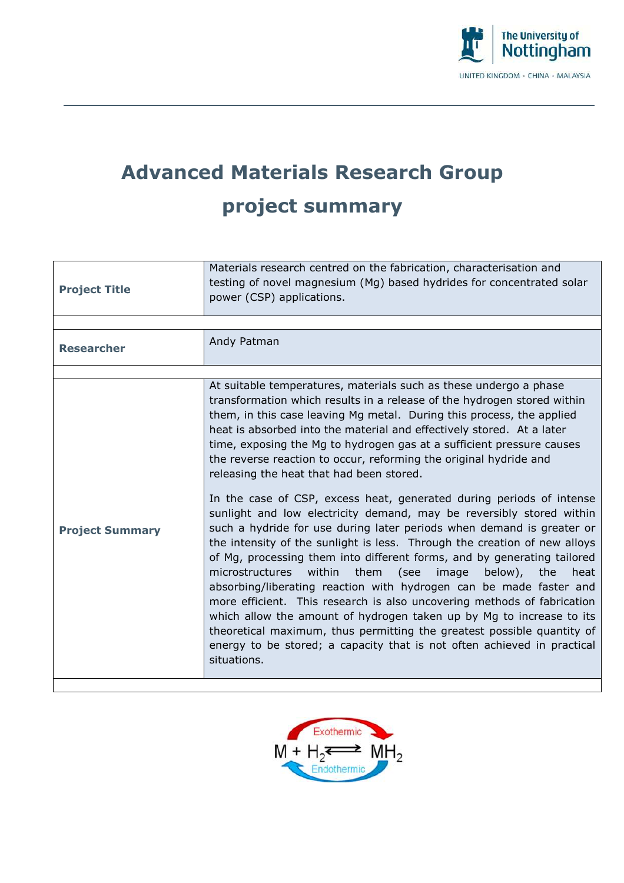

## **Advanced Materials Research Group project summary**

| <b>Project Title</b>   | Materials research centred on the fabrication, characterisation and<br>testing of novel magnesium (Mg) based hydrides for concentrated solar<br>power (CSP) applications.                                                                                                                                                                                                                                                                                                                                                                                                                                                                                                                                                                                                                                                                                                                                                                                                                                                                                                                                                                                                                                                                                                                                                                              |
|------------------------|--------------------------------------------------------------------------------------------------------------------------------------------------------------------------------------------------------------------------------------------------------------------------------------------------------------------------------------------------------------------------------------------------------------------------------------------------------------------------------------------------------------------------------------------------------------------------------------------------------------------------------------------------------------------------------------------------------------------------------------------------------------------------------------------------------------------------------------------------------------------------------------------------------------------------------------------------------------------------------------------------------------------------------------------------------------------------------------------------------------------------------------------------------------------------------------------------------------------------------------------------------------------------------------------------------------------------------------------------------|
|                        |                                                                                                                                                                                                                                                                                                                                                                                                                                                                                                                                                                                                                                                                                                                                                                                                                                                                                                                                                                                                                                                                                                                                                                                                                                                                                                                                                        |
| <b>Researcher</b>      | Andy Patman                                                                                                                                                                                                                                                                                                                                                                                                                                                                                                                                                                                                                                                                                                                                                                                                                                                                                                                                                                                                                                                                                                                                                                                                                                                                                                                                            |
|                        |                                                                                                                                                                                                                                                                                                                                                                                                                                                                                                                                                                                                                                                                                                                                                                                                                                                                                                                                                                                                                                                                                                                                                                                                                                                                                                                                                        |
| <b>Project Summary</b> | At suitable temperatures, materials such as these undergo a phase<br>transformation which results in a release of the hydrogen stored within<br>them, in this case leaving Mg metal. During this process, the applied<br>heat is absorbed into the material and effectively stored. At a later<br>time, exposing the Mg to hydrogen gas at a sufficient pressure causes<br>the reverse reaction to occur, reforming the original hydride and<br>releasing the heat that had been stored.<br>In the case of CSP, excess heat, generated during periods of intense<br>sunlight and low electricity demand, may be reversibly stored within<br>such a hydride for use during later periods when demand is greater or<br>the intensity of the sunlight is less. Through the creation of new alloys<br>of Mg, processing them into different forms, and by generating tailored<br>microstructures<br>within<br>them<br>(see<br>image<br>below),<br>the<br>heat<br>absorbing/liberating reaction with hydrogen can be made faster and<br>more efficient. This research is also uncovering methods of fabrication<br>which allow the amount of hydrogen taken up by Mg to increase to its<br>theoretical maximum, thus permitting the greatest possible quantity of<br>energy to be stored; a capacity that is not often achieved in practical<br>situations. |